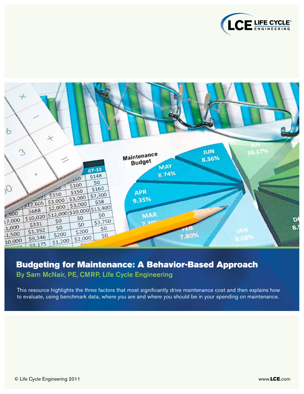



## Budgeting for Maintenance: A Behavior-Based Approach By Sam McNair, PE, CMRP, Life Cycle Engineering

This resource highlights the three factors that most significantly drive maintenance cost and then explains how to evaluate, using benchmark data, where you are and where you should be in your spending on maintenance.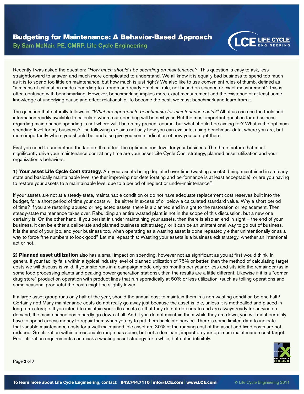

Recently I was asked the question: *"How much should I be spending on maintenance?"* This question is easy to ask, less straightforward to answer, and much more complicated to understand. We all know it is equally bad business to spend too much as it is to spend too little on maintenance, but how much is just right? We also like to use convenient rules of thumb, defined as "a means of estimation made according to a rough and ready practical rule, not based on science or exact measurement." This is often confused with benchmarking. However, benchmarking implies more exact measurement and the existence of at least some knowledge of underlying cause and effect relationship. To become the best, we must benchmark and learn from it.

The question that naturally follows is: *"What are appropriate benchmarks for maintenance costs?"* All of us can use the tools and information readily available to calculate where our spending will be next year. But the most important question for a business regarding maintenance spending is not where will I be on my present course, but what should I be aiming for? What is the optimum spending level for my business? The following explains not only how you can evaluate, using benchmark data, where you are, but more importantly where you should be, and also give you some indication of how you can get there.

First you need to understand the factors that affect the optimum cost level for your business. The three factors that most significantly drive your maintenance cost at any time are your asset Life Cycle Cost strategy, planned asset utilization and your organization's behaviors.

**1) Your asset Life Cycle Cost strategy.** Are your assets being depleted over time (wasting assets), being maintained in a steady state and basically maintainable level (neither improving nor deteriorating and performance is at least acceptable), or are you having to restore your assets to a maintainable level due to a period of neglect or under-maintenance?

If your assets are not at a steady-state, maintainable condition or do not have adequate replacement cost reserves built into the budget, for a short period of time your costs will be either in excess of or below a calculated standard value. Why a short period of time? If you are restoring abused or neglected assets, there is a planned end in sight to the restoration or replacement. Then steady-state maintenance takes over. Rebuilding an entire wasted plant is not in the scope of this discussion, but a new one certainly is. On the other hand, if you persist in under-maintaining your assets, then there is also an end in sight – the end of your business. It can be either a deliberate and planned business exit strategy, or it can be an unintentional way to go out of business. It is the end of your job, and your business too, when operating as a wasting asset is done repeatedly either unintentionally or as a way to force "the numbers to look good". Let me repeat this: Wasting your assets is a business exit strategy, whether an intentional act or not.

**2) Planned asset utilization** also has a small impact on spending, however not as significant as you at first would think. In general if your facility falls within a typical industry level of planned utilization of 75% or better, then the method of calculating target costs we will discuss is valid. If your site runs in a campaign mode only six months per year or less and sits idle the remainder (as in some food processing plants and peaking power generation stations), then the results are a little different. Likewise if it is a "corner drug store" production operation with product lines that run sporadically at 50% or less utilization, (such as tolling operations and some seasonal products) the costs might be slightly lower.

If a large asset group runs only half of the year, should the annual cost to maintain them in a non-wasting condition be one half? Certainly not! Many maintenance costs do not really go away just because the asset is idle, unless it is mothballed and placed in long term storage. If you intend to maintain your idle assets so that they do not deteriorate and are always ready for service on demand, the maintenance costs hardly go down at all. And if you do not maintain them while they are down, you will most certainly have to spend excess money to repair them when you try to put them back into service. There is some limited data to indicate that variable maintenance costs for a well-maintained idle asset are 30% of the running cost of the asset and fixed costs are not reduced. So utilization within a reasonable range has some, but not a dominant, impact on your optimum maintenance cost target. Poor utilization requirements can mask a wasting asset strategy for a while, but not indefinitely.



Page **2** of **7**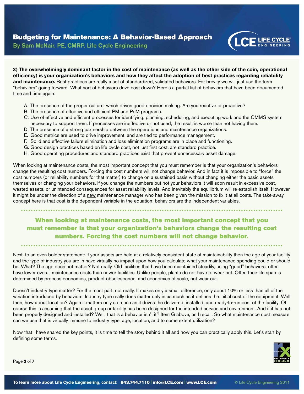

**3) The overwhelmingly dominant factor in the cost of maintenance (as well as the other side of the coin, operational efficiency) is your organization's behaviors and how they affect the adoption of best practices regarding reliability**  and maintenance. Best practices are really a set of standardized, validated behaviors. For brevity we will just use the term "behaviors" going forward. What sort of behaviors drive cost down? Here's a partial list of behaviors that have been documented time and time again:

- A. The presence of the proper culture, which drives good decision making. Are you reactive or proactive?
- B. The presence of effective and efficient PM and PdM programs.
- C. Use of effective and efficient processes for identifying, planning, scheduling, and executing work and the CMMS system necessary to support them. If processes are ineffective or not used, the result is worse than not having them.
- D. The presence of a strong partnership between the operations and maintenance organizations.
- E. Good metrics are used to drive improvement, and are tied to performance management.
- F. Solid and effective failure elimination and loss elimination programs are in place and functioning.
- G. Good design practices based on life cycle cost, not just first cost, are standard practice.
- H. Good operating procedures and standard practices exist that prevent unnecessary asset damage.

When looking at maintenance costs, the most important concept that you must remember is that your organization's behaviors change the resulting cost numbers. Forcing the cost numbers will not change behavior. And in fact it is impossible to "force" the cost numbers (or reliability numbers for that matter) to change on a sustained basis without changing either the basic assets themselves or changing your behaviors. If you change the numbers but not your behaviors it will soon result in excessive cost, wasted assets, or unintended consequences for asset reliability levels. And inevitably the equilibrium will re-establish itself. However it might be under the direction of a new maintenance manager who has been given the mission to fix it at all costs. The take-away concept here is that cost is the dependent variable in the equation; behaviors are the independent variables.

When looking at maintenance costs, the most important concept that you must remember is that your organization's behaviors change the resulting cost numbers. Forcing the cost numbers will not change behavior.

Next, to an even bolder statement: if your assets are held at a relatively consistent state of maintainability then the age of your facility and the type of industry you are in have virtually no impact upon how you calculate what your maintenance spending could or should be. What? The age does not matter? Not really. Old facilities that have been maintained steadily, using "good" behaviors, often have lower overall maintenance costs than newer facilities. Unlike people, plants do not have to wear out. Often their life span is determined by process economics, product obsolescence, and economies of scale, not wear out.

Doesn't industry type matter? For the most part, not really. It makes only a small difference, only about 10% or less than all of the variation introduced by behaviors. Industry type really does matter only in as much as it defines the initial cost of the equipment. Well then, how about location? Again it matters only so much as it drives the delivered, installed, and ready-to-run cost of the facility. Of course this is assuming that the asset group or facility has been designed for the intended service and environment. And if it has not been properly designed and installed? Well, that is a behavior isn't it? Item G above, as I recall. So what maintenance cost measure can we use that is virtually immune to industry type, age, location, and to some extent utilization?

Now that I have shared the key points, it is time to tell the story behind it all and how you can practically apply this. Let's start by defining some terms.



Page **3** of **7**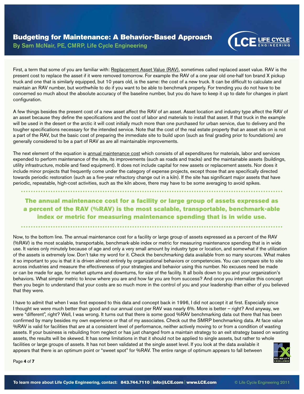

First, a term that some of you are familiar with: Replacement Asset Value (RAV), sometimes called replaced asset value. RAV is the present cost to replace the asset if it were removed tomorrow. For example the RAV of a one year old one-half ton brand X pickup truck and one that is similarly equipped, but 10 years old, is the same: the cost of a new truck. It can be difficult to calculate and maintain an RAV number, but worthwhile to do if you want to be able to benchmark properly. For trending you do not have to be concerned so much about the absolute accuracy of the baseline number, but you do have to keep it up to date for changes in plant configuration.

A few things besides the present cost of a new asset affect the RAV of an asset. Asset location and industry type affect the RAV of an asset because they define the specifications and the cost of labor and materials to install that asset. If that truck in the example will be used in the desert or the arctic it will cost initially much more than one purchased for urban service, due to delivery and the tougher specifications necessary for the intended service. Note that the cost of the real estate property that an asset sits on is not a part of the RAV, but the basic cost of preparing the immediate site to build upon (such as final grading prior to foundations) are generally considered to be a part of RAV as are all maintainable improvements.

The next element of the equation is annual maintenance cost which consists of all expenditures for materials, labor and services expended to perform maintenance of the site, its improvements (such as roads and tracks) and the maintainable assets (buildings, utility infrastructure, mobile and fixed equipment). It does not include capital for new assets or replacement assets. Nor does it include minor projects that frequently come under the category of expense projects, except those that are specifically directed towards periodic restoration (such as a five-year refractory change out in a kiln). If the site has significant major assets that have periodic, repeatable, high-cost activities, such as the kiln above, there may have to be some averaging to avoid spikes.

## The annual maintenance cost for a facility or large group of assets expressed as a percent of the RAV (%RAV) is the most scalable, transportable, benchmark-able index or metric for measuring maintenance spending that is in wide use.

Now, to the bottom line. The annual maintenance cost for a facility or large group of assets expressed as a percent of the RAV (%RAV) is the most scalable, transportable, benchmark-able index or metric for measuring maintenance spending that is in wide use. It varies only minutely because of age and only a very small amount by industry type or location, and somewhat if the utilization of the assets is extremely low. Don't take my word for it. Check the benchmarking data available from so many sources. What makes it so important to you is that it is driven almost entirely by organizational behaviors or competencies. You can compare site to site across industries and measure the effectiveness of your strategies and behavior using this number. No excuses need be made or can be made for age, for market upturns and downturns, for size of the facility. It all boils down to you and your organization's behaviors. What simpler metric to know where you are and how far you are from success? And once you internalize this concept then you begin to understand that your costs are so much more in the control of you and your leadership than either of you believed that they were.

I have to admit that when I was first exposed to this data and concept back in 1996, I did not accept it at first. Especially since I thought we were much better than good and our annual cost per RAV was nearly 6%. More is better – right? And anyway, we were "different", right? Well, I was wrong. It turns out that there is some good %RAV benchmarking data out there that has been confirmed by many besides my own experience or that of my associates. Check out the SMRP benchmarking data. At face value %RAV is valid for facilities that are at a consistent level of performance, neither actively moving to or from a condition of wasting assets. If your business is rebuilding from neglect or has just changed from a maintain strategy to an exit strategy based on wasting assets, the results will be skewed. It has some limitations in that it should not be applied to single assets, but rather to whole facilities or large groups of assets. It has not been validated at the single asset level. If you look at the data available it appears that there is an optimum point or "sweet spot" for %RAV. The entire range of optimum appears to fall between



Page **4** of **7**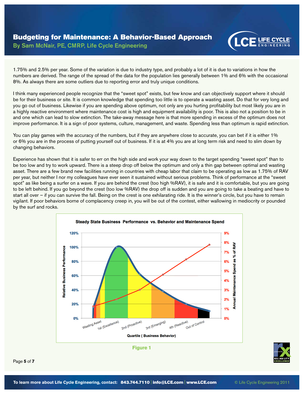

1.75% and 2.5% per year. Some of the variation is due to industry type, and probably a lot of it is due to variations in how the numbers are derived. The range of the spread of the data for the population lies generally between 1% and 6% with the occasional 8%. As always there are some outliers due to reporting error and truly unique conditions.

I think many experienced people recognize that the "sweet spot" exists, but few know and can objectively support where it should be for their business or site. It is common knowledge that spending too little is to operate a wasting asset. Do that for very long and you go out of business. Likewise if you are spending above optimum, not only are you hurting profitability but most likely you are in a highly reactive environment where maintenance cost is high and equipment availability is poor. This is also not a position to be in and one which can lead to slow extinction. The take-away message here is that more spending in excess of the optimum does not improve performance. It is a sign of poor systems, culture, management, and waste. Spending less than optimum is rapid extinction.

You can play games with the accuracy of the numbers, but if they are anywhere close to accurate, you can bet if it is either 1% or 6% you are in the process of putting yourself out of business. If it is at 4% you are at long term risk and need to slim down by changing behaviors.

Experience has shown that it is safer to err on the high side and work your way down to the target spending "sweet spot" than to be too low and try to work upward. There is a steep drop off below the optimum and only a thin gap between optimal and wasting asset. There are a few brand new facilities running in countries with cheap labor that claim to be operating as low as 1.75% of RAV per year, but neither I nor my colleagues have ever seen it sustained without serious problems. Think of performance at the "sweet spot" as like being a surfer on a wave. If you are behind the crest (too high %RAV), it is safe and it is comfortable, but you are going to be left behind. If you go beyond the crest (too low %RAV) the drop off is sudden and you are going to take a beating and have to start all over – if you can survive the fall. Being on the crest is one exhilarating ride. It is the winner's circle, but you have to remain vigilant. If poor behaviors borne of complacency creep in, you will be out of the contest, either wallowing in mediocrity or pounded by the surf and rocks.



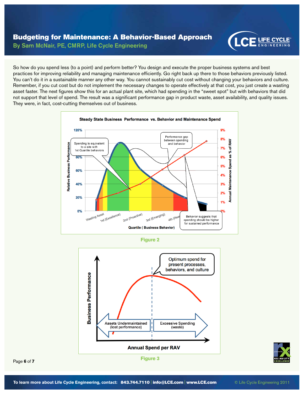

So how do you spend less (to a point) and perform better? You design and execute the proper business systems and best practices for improving reliability and managing maintenance efficiently. Go right back up there to those behaviors previously listed. You can't do it in a sustainable manner any other way. You cannot sustainably cut cost without changing your behaviors and culture. Remember, if you cut cost but do not implement the necessary changes to operate effectively at that cost, you just create a wasting asset faster. The next figures show this for an actual plant site, which had spending in the "sweet spot" but with behaviors that did not support that level of spend. The result was a significant performance gap in product waste, asset availability, and quality issues. They were, in fact, cost-cutting themselves out of business.